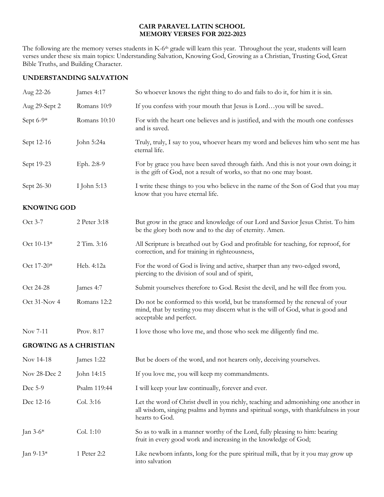#### **CAIR PARAVEL LATIN SCHOOL MEMORY VERSES FOR 2022-2023**

The following are the memory verses students in K-6<sup>th</sup> grade will learn this year. Throughout the year, students will learn verses under these six main topics: Understanding Salvation, Knowing God, Growing as a Christian, Trusting God, Great Bible Truths, and Building Character.

# **UNDERSTANDING SALVATION**

| Aug 22-26                     | James 4:17   | So whoever knows the right thing to do and fails to do it, for him it is sin.                                                                                                                |
|-------------------------------|--------------|----------------------------------------------------------------------------------------------------------------------------------------------------------------------------------------------|
| Aug 29-Sept 2                 | Romans 10:9  | If you confess with your mouth that Jesus is Lordyou will be saved                                                                                                                           |
| Sept 6-9*                     | Romans 10:10 | For with the heart one believes and is justified, and with the mouth one confesses<br>and is saved.                                                                                          |
| Sept 12-16                    | John 5:24a   | Truly, truly, I say to you, whoever hears my word and believes him who sent me has<br>eternal life.                                                                                          |
| Sept 19-23                    | Eph. 2:8-9   | For by grace you have been saved through faith. And this is not your own doing; it<br>is the gift of God, not a result of works, so that no one may boast.                                   |
| Sept 26-30                    | I John 5:13  | I write these things to you who believe in the name of the Son of God that you may<br>know that you have eternal life.                                                                       |
| <b>KNOWING GOD</b>            |              |                                                                                                                                                                                              |
| Oct 3-7                       | 2 Peter 3:18 | But grow in the grace and knowledge of our Lord and Savior Jesus Christ. To him<br>be the glory both now and to the day of eternity. Amen.                                                   |
| Oct 10-13*                    | 2 Tim. 3:16  | All Scripture is breathed out by God and profitable for teaching, for reproof, for<br>correction, and for training in righteousness,                                                         |
| Oct 17-20*                    | Heb. 4:12a   | For the word of God is living and active, sharper than any two-edged sword,<br>piercing to the division of soul and of spirit,                                                               |
| Oct 24-28                     | James 4:7    | Submit yourselves therefore to God. Resist the devil, and he will flee from you.                                                                                                             |
| Oct 31-Nov 4                  | Romans 12:2  | Do not be conformed to this world, but be transformed by the renewal of your<br>mind, that by testing you may discern what is the will of God, what is good and<br>acceptable and perfect.   |
| Nov 7-11                      | Prov. 8:17   | I love those who love me, and those who seek me diligently find me.                                                                                                                          |
| <b>GROWING AS A CHRISTIAN</b> |              |                                                                                                                                                                                              |
| Nov 14-18                     | James 1:22   | But be doers of the word, and not hearers only, deceiving yourselves.                                                                                                                        |
| Nov 28-Dec 2                  | John 14:15   | If you love me, you will keep my commandments.                                                                                                                                               |
| Dec 5-9                       | Psalm 119:44 | I will keep your law continually, forever and ever.                                                                                                                                          |
| Dec 12-16                     | Col. 3:16    | Let the word of Christ dwell in you richly, teaching and admonishing one another in<br>all wisdom, singing psalms and hymns and spiritual songs, with thankfulness in your<br>hearts to God. |
| Jan 3-6*                      | Col. 1:10    | So as to walk in a manner worthy of the Lord, fully pleasing to him: bearing<br>fruit in every good work and increasing in the knowledge of God;                                             |
| Jan 9-13*                     | 1 Peter 2:2  | Like newborn infants, long for the pure spiritual milk, that by it you may grow up                                                                                                           |

into salvation